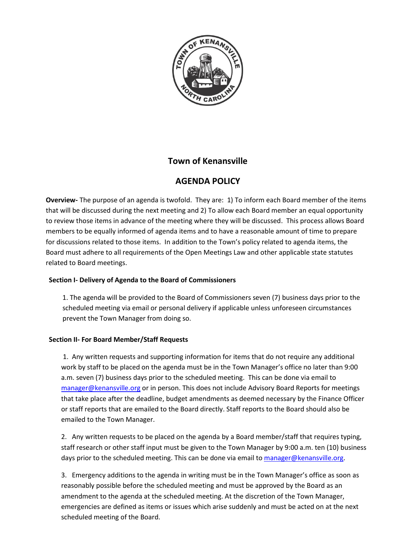

## **Town of Kenansville**

# **AGENDA POLICY**

**Overview-** The purpose of an agenda is twofold. They are: 1) To inform each Board member of the items that will be discussed during the next meeting and 2) To allow each Board member an equal opportunity to review those items in advance of the meeting where they will be discussed. This process allows Board members to be equally informed of agenda items and to have a reasonable amount of time to prepare for discussions related to those items. In addition to the Town's policy related to agenda items, the Board must adhere to all requirements of the Open Meetings Law and other applicable state statutes related to Board meetings.

### **Section I- Delivery of Agenda to the Board of Commissioners**

 1. The agenda will be provided to the Board of Commissioners seven (7) business days prior to the scheduled meeting via email or personal delivery if applicable unless unforeseen circumstances prevent the Town Manager from doing so.

### **Section II- For Board Member/Staff Requests**

1. Any written requests and supporting information for items that do not require any additional work by staff to be placed on the agenda must be in the Town Manager's office no later than 9:00 a.m. seven (7) business days prior to the scheduled meeting. This can be done via email to [manager@kenansville.org](mailto:manager@kenansville.org) or in person. This does not include Advisory Board Reports for meetings that take place after the deadline, budget amendments as deemed necessary by the Finance Officer or staff reports that are emailed to the Board directly. Staff reports to the Board should also be emailed to the Town Manager.

2. Any written requests to be placed on the agenda by a Board member/staff that requires typing, staff research or other staff input must be given to the Town Manager by 9:00 a.m. ten (10) business days prior to the scheduled meeting. This can be done via email t[o manager@kenansville.org.](mailto:manager@kenansville.org)

3. Emergency additions to the agenda in writing must be in the Town Manager's office as soon as reasonably possible before the scheduled meeting and must be approved by the Board as an amendment to the agenda at the scheduled meeting. At the discretion of the Town Manager, emergencies are defined as items or issues which arise suddenly and must be acted on at the next scheduled meeting of the Board.